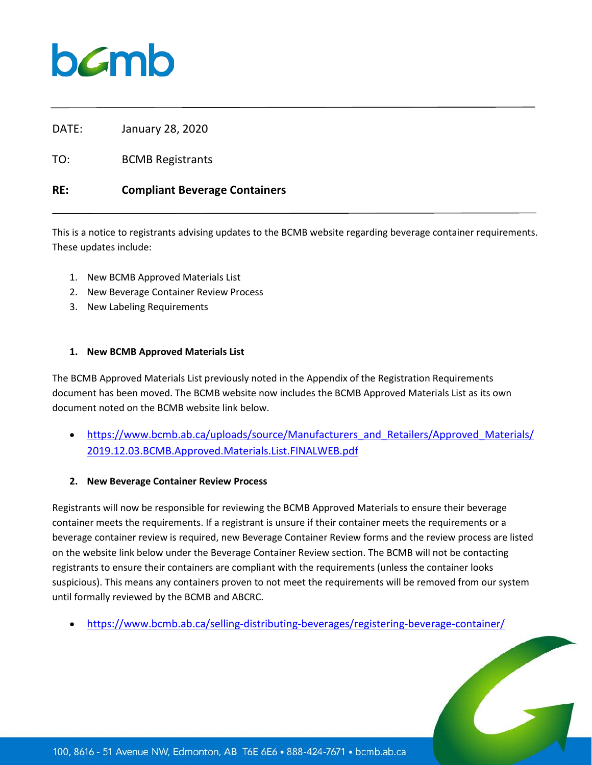## **b***C*mb

DATE: January 28, 2020

TO: BCMB Registrants

### **RE: Compliant Beverage Containers**

This is a notice to registrants advising updates to the BCMB website regarding beverage container requirements. These updates include:

- 1. New BCMB Approved Materials List
- 2. New Beverage Container Review Process
- 3. New Labeling Requirements

#### **1. New BCMB Approved Materials List**

The BCMB Approved Materials List previously noted in the Appendix of the Registration Requirements document has been moved. The BCMB website now includes the BCMB Approved Materials List as its own document noted on the BCMB website link below.

• [https://www.bcmb.ab.ca/uploads/source/Manufacturers\\_and\\_Retailers/Approved\\_Materials/](https://www.bcmb.ab.ca/uploads/source/Manufacturers_and_Retailers/Approved_Materials/2019.12.03.BCMB.Approved.Materials.List.FINALWEB.pdf) [2019.12.03.BCMB.Approved.Materials.List.FINALWEB.pdf](https://www.bcmb.ab.ca/uploads/source/Manufacturers_and_Retailers/Approved_Materials/2019.12.03.BCMB.Approved.Materials.List.FINALWEB.pdf)

#### **2. New Beverage Container Review Process**

Registrants will now be responsible for reviewing the BCMB Approved Materials to ensure their beverage container meets the requirements. If a registrant is unsure if their container meets the requirements or a beverage container review is required, new Beverage Container Review forms and the review process are listed on the website link below under the Beverage Container Review section. The BCMB will not be contacting registrants to ensure their containers are compliant with the requirements (unless the container looks suspicious). This means any containers proven to not meet the requirements will be removed from our system until formally reviewed by the BCMB and ABCRC.

• <https://www.bcmb.ab.ca/selling-distributing-beverages/registering-beverage-container/>